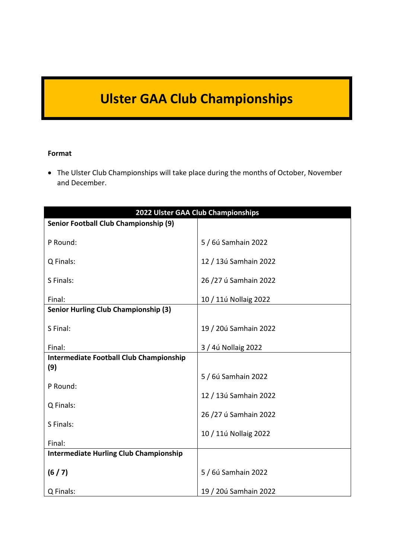## **Ulster GAA Club Championships**

#### **Format**

 The Ulster Club Championships will take place during the months of October, November and December.

| 2022 Ulster GAA Club Championships                    |                       |
|-------------------------------------------------------|-----------------------|
| Senior Football Club Championship (9)                 |                       |
| P Round:                                              | 5 / 6ú Samhain 2022   |
| Q Finals:                                             | 12 / 13ú Samhain 2022 |
| S Finals:                                             | 26/27 ú Samhain 2022  |
| Final:                                                | 10 / 11ú Nollaig 2022 |
| <b>Senior Hurling Club Championship (3)</b>           |                       |
| S Final:                                              | 19 / 20ú Samhain 2022 |
| Final:                                                | 3 / 4ú Nollaig 2022   |
| <b>Intermediate Football Club Championship</b><br>(9) |                       |
|                                                       | 5 / 6ú Samhain 2022   |
| P Round:                                              |                       |
| Q Finals:                                             | 12 / 13ú Samhain 2022 |
|                                                       | 26/27 ú Samhain 2022  |
| S Finals:                                             |                       |
| Final:                                                | 10 / 11ú Nollaig 2022 |
| <b>Intermediate Hurling Club Championship</b>         |                       |
| (6/7)                                                 | 5 / 6ú Samhain 2022   |
| Q Finals:                                             | 19 / 20ú Samhain 2022 |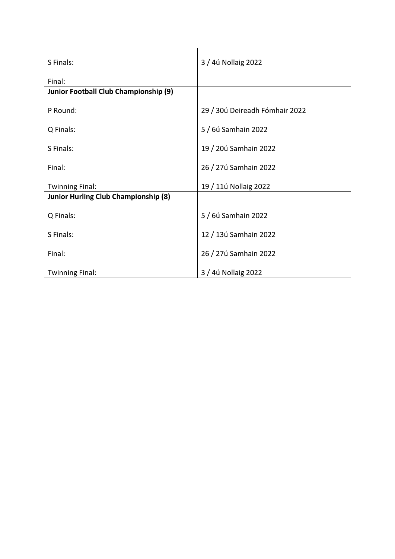| S Finals:                                   | 3 / 4ú Nollaig 2022            |  |
|---------------------------------------------|--------------------------------|--|
| Final:                                      |                                |  |
| Junior Football Club Championship (9)       |                                |  |
| P Round:                                    | 29 / 30ú Deireadh Fómhair 2022 |  |
| Q Finals:                                   | 5 / 6ú Samhain 2022            |  |
| S Finals:                                   | 19 / 20ú Samhain 2022          |  |
| Final:                                      | 26 / 27ú Samhain 2022          |  |
| <b>Twinning Final:</b>                      | 19 / 11ú Nollaig 2022          |  |
| <b>Junior Hurling Club Championship (8)</b> |                                |  |
| Q Finals:                                   | 5 / 6ú Samhain 2022            |  |
| S Finals:                                   | 12 / 13ú Samhain 2022          |  |
| Final:                                      | 26 / 27ú Samhain 2022          |  |
| <b>Twinning Final:</b>                      | 3 / 4ú Nollaig 2022            |  |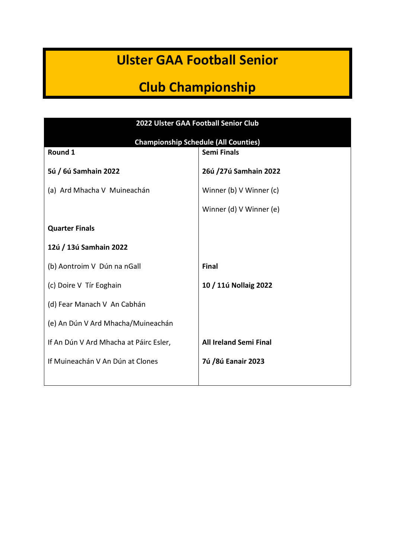### **Ulster GAA Football Senior**

## **Club Championship**

| 2022 Ulster GAA Football Senior Club        |                               |  |
|---------------------------------------------|-------------------------------|--|
| <b>Championship Schedule (All Counties)</b> |                               |  |
| Round 1                                     | <b>Semi Finals</b>            |  |
| 5ú / 6ú Samhain 2022                        | 26ú /27ú Samhain 2022         |  |
| (a) Ard Mhacha V Muineachán                 | Winner (b) V Winner (c)       |  |
|                                             | Winner (d) V Winner (e)       |  |
| <b>Quarter Finals</b>                       |                               |  |
| 12ú / 13ú Samhain 2022                      |                               |  |
| (b) Aontroim V Dún na nGall                 | <b>Final</b>                  |  |
| (c) Doire V Tír Eoghain                     | 10 / 11ú Nollaig 2022         |  |
| (d) Fear Manach V An Cabhán                 |                               |  |
| (e) An Dún V Ard Mhacha/Muineachán          |                               |  |
| If An Dún V Ard Mhacha at Páirc Esler,      | <b>All Ireland Semi Final</b> |  |
| If Muineachán V An Dún at Clones            | 7ú /8ú Eanair 2023            |  |
|                                             |                               |  |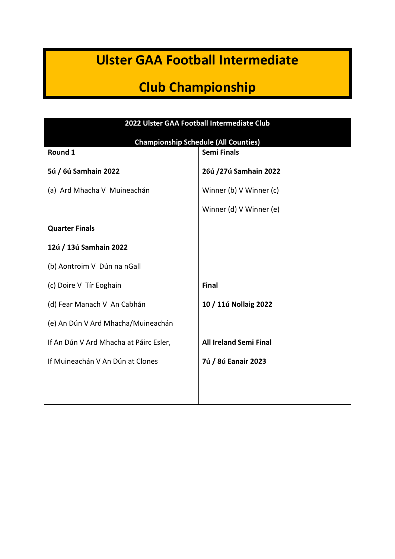### **Ulster GAA Football Intermediate**

### **Club Championship**

| 2022 Ulster GAA Football Intermediate Club  |                               |  |
|---------------------------------------------|-------------------------------|--|
| <b>Championship Schedule (All Counties)</b> |                               |  |
| Round 1                                     | <b>Semi Finals</b>            |  |
| 5ú / 6ú Samhain 2022                        | 26ú /27ú Samhain 2022         |  |
| (a) Ard Mhacha V Muineachán                 | Winner (b) V Winner (c)       |  |
|                                             | Winner (d) V Winner (e)       |  |
| <b>Quarter Finals</b>                       |                               |  |
| 12ú / 13ú Samhain 2022                      |                               |  |
| (b) Aontroim V Dún na nGall                 |                               |  |
| (c) Doire V Tír Eoghain                     | <b>Final</b>                  |  |
| (d) Fear Manach V An Cabhán                 | 10 / 11ú Nollaig 2022         |  |
| (e) An Dún V Ard Mhacha/Muineachán          |                               |  |
| If An Dún V Ard Mhacha at Páirc Esler,      | <b>All Ireland Semi Final</b> |  |
| If Muineachán V An Dún at Clones            | 7ú / 8ú Eanair 2023           |  |
|                                             |                               |  |
|                                             |                               |  |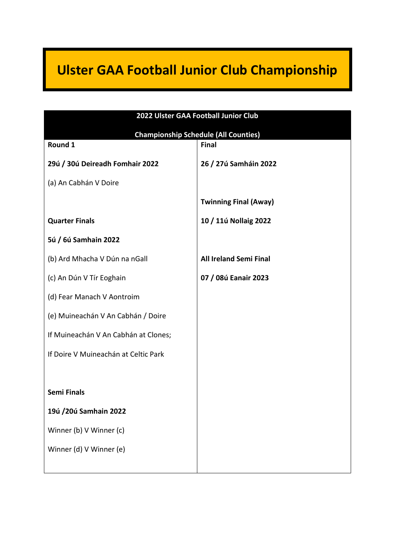# **Ulster GAA Football Junior Club Championship**

| 2022 Ulster GAA Football Junior Club        |                               |  |
|---------------------------------------------|-------------------------------|--|
| <b>Championship Schedule (All Counties)</b> |                               |  |
| Round 1                                     | <b>Final</b>                  |  |
| 29ú / 30ú Deireadh Fomhair 2022             | 26 / 27ú Samháin 2022         |  |
| (a) An Cabhán V Doire                       |                               |  |
|                                             | <b>Twinning Final (Away)</b>  |  |
| <b>Quarter Finals</b>                       | 10 / 11ú Nollaig 2022         |  |
| 5ú / 6ú Samhain 2022                        |                               |  |
| (b) Ard Mhacha V Dún na nGall               | <b>All Ireland Semi Final</b> |  |
| (c) An Dún V Tír Eoghain                    | 07 / 08ú Eanair 2023          |  |
| (d) Fear Manach V Aontroim                  |                               |  |
| (e) Muineachán V An Cabhán / Doire          |                               |  |
| If Muineachán V An Cabhán at Clones;        |                               |  |
| If Doire V Muineachán at Celtic Park        |                               |  |
|                                             |                               |  |
| <b>Semi Finals</b>                          |                               |  |
| 19ú /20ú Samhain 2022                       |                               |  |
| Winner (b) V Winner (c)                     |                               |  |
| Winner (d) V Winner (e)                     |                               |  |
|                                             |                               |  |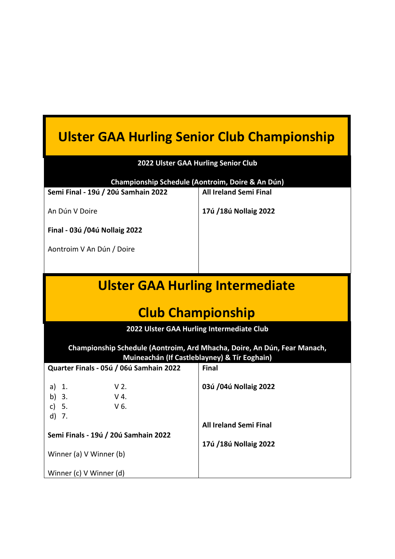# **Ulster GAA Hurling Senior Club Championship**

| 2022 Ulster GAA Hurling Senior Club                                                                                      |                               |  |
|--------------------------------------------------------------------------------------------------------------------------|-------------------------------|--|
| Championship Schedule (Aontroim, Doire & An Dún)                                                                         |                               |  |
| Semi Final - 19ú / 20ú Samhain 2022                                                                                      | <b>All Ireland Semi Final</b> |  |
| An Dún V Doire                                                                                                           | 17ú /18ú Nollaig 2022         |  |
| Final - 03ú /04ú Nollaig 2022                                                                                            |                               |  |
| Aontroim V An Dún / Doire                                                                                                |                               |  |
|                                                                                                                          |                               |  |
| <b>Ulster GAA Hurling Intermediate</b>                                                                                   |                               |  |
| <b>Club Championship</b>                                                                                                 |                               |  |
| 2022 Ulster GAA Hurling Intermediate Club                                                                                |                               |  |
| Championship Schedule (Aontroim, Ard Mhacha, Doire, An Dún, Fear Manach,<br>Muineachán (If Castleblayney) & Tír Eoghain) |                               |  |
| Quarter Finals - 05ú / 06ú Samhain 2022                                                                                  | <b>Final</b>                  |  |
| $V2$ .<br>$a)$ 1.<br>$V$ 4.<br>b) $3.$<br>c) $5.$<br>$V6$ .                                                              | 03ú /04ú Nollaig 2022         |  |
| $d)$ 7.                                                                                                                  |                               |  |
| Semi Finals - 19ú / 20ú Samhain 2022                                                                                     | <b>All Ireland Semi Final</b> |  |
|                                                                                                                          | 17ú /18ú Nollaig 2022         |  |
| Winner (a) V Winner (b)                                                                                                  |                               |  |
| Winner (c) V Winner (d)                                                                                                  |                               |  |